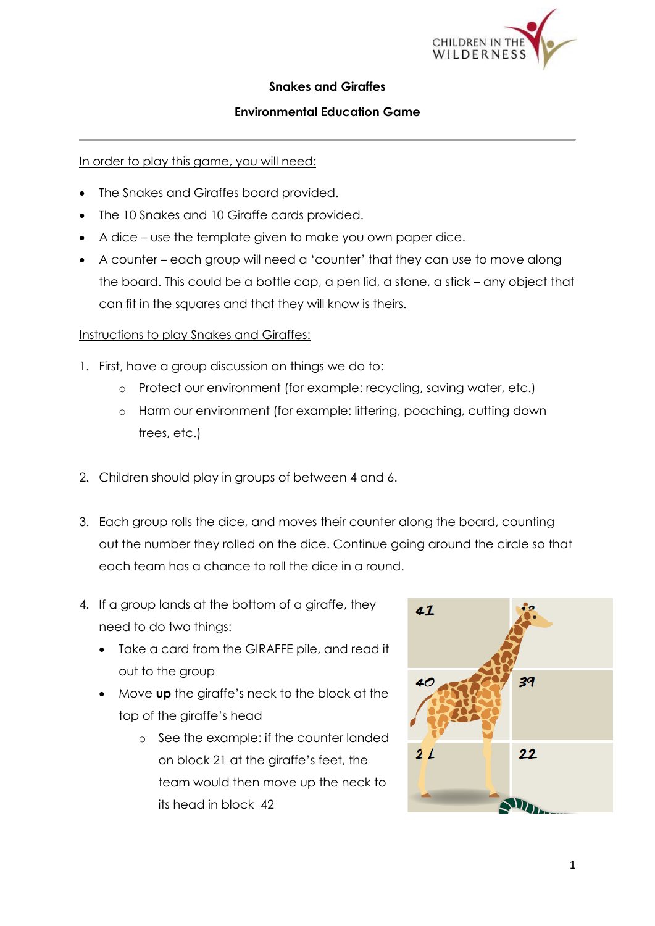

## **Snakes and Giraffes**

## **Environmental Education Game**

In order to play this game, you will need:

- The Snakes and Giraffes board provided.
- The 10 Snakes and 10 Giraffe cards provided.
- A dice use the template given to make you own paper dice.
- A counter each group will need a 'counter' that they can use to move along the board. This could be a bottle cap, a pen lid, a stone, a stick – any object that can fit in the squares and that they will know is theirs.

## Instructions to play Snakes and Giraffes:

- 1. First, have a group discussion on things we do to:
	- o Protect our environment (for example: recycling, saving water, etc.)
	- o Harm our environment (for example: littering, poaching, cutting down trees, etc.)
- 2. Children should play in groups of between 4 and 6.
- 3. Each group rolls the dice, and moves their counter along the board, counting out the number they rolled on the dice. Continue going around the circle so that each team has a chance to roll the dice in a round.
- 4. If a group lands at the bottom of a giraffe, they need to do two things:
	- Take a card from the GIRAFFE pile, and read it out to the group
	- Move **up** the giraffe's neck to the block at the top of the giraffe's head
		- o See the example: if the counter landed on block 21 at the giraffe's feet, the team would then move up the neck to its head in block 42